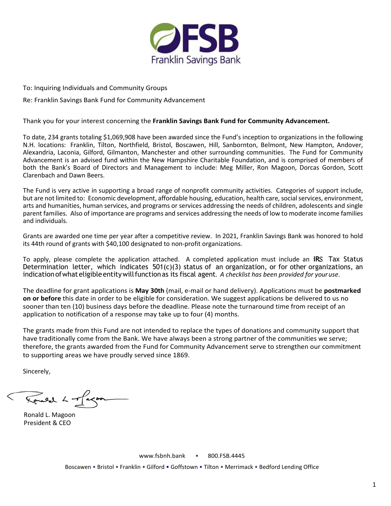

To: Inquiring Individuals and Community Groups

Re: Franklin Savings Bank Fund for Community Advancement

Thank you for your interest concerning the **Franklin Savings Bank Fund for Community Advancement.** 

To date, 234 grants totaling \$1,069,908 have been awarded since the Fund's inception to organizations in the following N.H. locations: Franklin, Tilton, Northfield, Bristol, Boscawen, Hill, Sanbornton, Belmont, New Hampton, Andover, Alexandria, Laconia, Gilford, Gilmanton, Manchester and other surrounding communities. The Fund for Community Advancement is an advised fund within the New Hampshire Charitable Foundation, and is comprised of members of both the Bank's Board of Directors and Management to include: Meg Miller, Ron Magoon, Dorcas Gordon, Scott Clarenbach and Dawn Beers.

The Fund is very active in supporting a broad range of nonprofit community activities. Categories of support include, but are not limited to: Economic development, affordable housing, education, health care, social services, environment, arts and humanities, human services, and programs or services addressing the needs of children, adolescents and single parent families. Also of importance are programs and services addressing the needs of low to moderate income families and individuals.

Grants are awarded one time per year after a competitive review. In 2021, Franklin Savings Bank was honored to hold its 44th round of grants with \$40,100 designated to non-profit organizations.

To apply, please complete the application attached. A completed application must include an **IR**S Tax Status Determination letter, which indicates 501(c)(3) status of an organization, or for other organizations, an indication of what eligible entity will function as its fiscal agent. A checklist has been provided for your use.

The deadline for grant applications is **May 30th** (mail, e-mail or hand delivery). Applications must be **postmarked on or before** this date in order to be eligible for consideration. We suggest applications be delivered to us no sooner than ten (10) business days before the deadline. Please note the turnaround time from receipt of an application to notification of a response may take up to four (4) months.

The grants made from this Fund are not intended to replace the types of donations and community support that have traditionally come from the Bank. We have always been a strong partner of the communities we serve; therefore, the grants awarded from the Fund for Community Advancement serve to strengthen our commitment to supporting areas we have proudly served since 1869.

Sincerely,

Rouel L of agon

Ronald L. Magoon President & CEO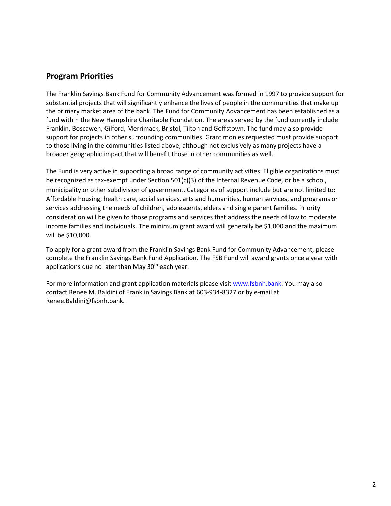## **Program Priorities**

The Franklin Savings Bank Fund for Community Advancement was formed in 1997 to provide support for substantial projects that will significantly enhance the lives of people in the communities that make up the primary market area of the bank. The Fund for Community Advancement has been established as a fund within the New Hampshire Charitable Foundation. The areas served by the fund currently include Franklin, Boscawen, Gilford, Merrimack, Bristol, Tilton and Goffstown. The fund may also provide support for projects in other surrounding communities. Grant monies requested must provide support to those living in the communities listed above; although not exclusively as many projects have a broader geographic impact that will benefit those in other communities as well.

The Fund is very active in supporting a broad range of community activities. Eligible organizations must be recognized as tax-exempt under Section 501(c)(3) of the Internal Revenue Code, or be a school, municipality or other subdivision of government. Categories of support include but are not limited to: Affordable housing, health care, social services, arts and humanities, human services, and programs or services addressing the needs of children, adolescents, elders and single parent families. Priority consideration will be given to those programs and services that address the needs of low to moderate income families and individuals. The minimum grant award will generally be \$1,000 and the maximum will be \$10,000.

To apply for a grant award from the Franklin Savings Bank Fund for Community Advancement, please complete the Franklin Savings Bank Fund Application. The FSB Fund will award grants once a year with applications due no later than May 30<sup>th</sup> each year.

For more information and grant application materials please visi[t www.fsbnh.bank.](http://www.fsbnh.bank/) You may also contact Renee M. Baldini of Franklin Savings Bank at 603-934-8327 or by e-mail at [Renee.Baldini@fsbnh.bank.](mailto:Renee.Baldini@fsbnh.bank)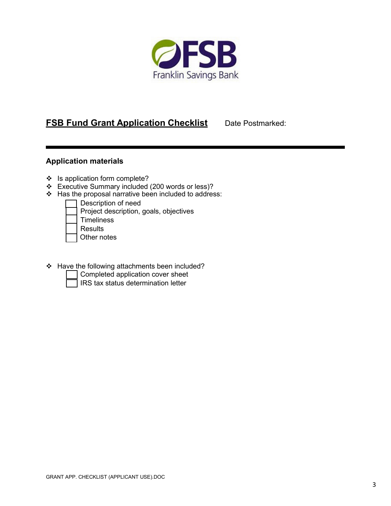

## **FSB Fund Grant Application Checklist** Date Postmarked:

## **Application materials**

- ❖ Is application form complete?
- Executive Summary included (200 words or less)?
- $\div$  Has the proposal narrative been included to address:

| Description of need                    |
|----------------------------------------|
| Project description, goals, objectives |
| <b>Timeliness</b>                      |
| <b>Results</b>                         |
| Other notes                            |
|                                        |

- Have the following attachments been included?
	- Completed application cover sheet
	- IRS tax status determination letter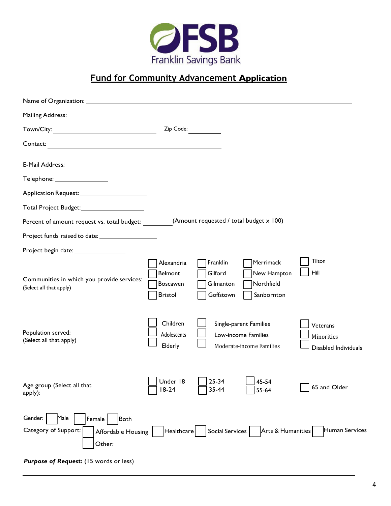

## **Fund for Community Advancement Application**

|                                                                                                                                                                          | Zip Code:                                                  |                                               |  |                                                                           |                                                |  |  |
|--------------------------------------------------------------------------------------------------------------------------------------------------------------------------|------------------------------------------------------------|-----------------------------------------------|--|---------------------------------------------------------------------------|------------------------------------------------|--|--|
| Contact:<br><u> 1989 - Johann Stein, marwolaethau a bhann an t-Amhair an t-Amhair an t-Amhair an t-Amhair an t-Amhair an t-A</u>                                         |                                                            |                                               |  |                                                                           |                                                |  |  |
| E-Mail Address: No. 1998. The Mail Address:                                                                                                                              |                                                            |                                               |  |                                                                           |                                                |  |  |
| $\mathsf{T}$ elephone: ___________________                                                                                                                               |                                                            |                                               |  |                                                                           |                                                |  |  |
|                                                                                                                                                                          |                                                            |                                               |  |                                                                           |                                                |  |  |
| Total Project Budget:_________________________                                                                                                                           |                                                            |                                               |  |                                                                           |                                                |  |  |
| (Amount requested / total budget x 100)<br>Percent of amount request vs. total budget:                                                                                   |                                                            |                                               |  |                                                                           |                                                |  |  |
|                                                                                                                                                                          |                                                            |                                               |  |                                                                           |                                                |  |  |
| Project begin date: _________________                                                                                                                                    |                                                            |                                               |  |                                                                           |                                                |  |  |
| Communities in which you provide services:<br>(Select all that apply)                                                                                                    | Alexandria<br>Belmont<br><b>Boscawen</b><br><b>Bristol</b> | Franklin<br>Gilford<br>Gilmanton<br>Goffstown |  | Merrimack<br>New Hampton<br>Northfield<br>Sanbornton                      | Tilton<br>Hill                                 |  |  |
| Population served:<br>(Select all that apply)                                                                                                                            | Children<br>Adolescents<br>Elderly                         |                                               |  | Single-parent Families<br>Low-income Families<br>Moderate-income Families | Veterans<br>Minorities<br>Disabled Individuals |  |  |
| Age group (Select all that<br>apply):                                                                                                                                    | Under 18<br>$18-24$                                        | $25 - 34$<br>35-44                            |  | 45-54<br>55-64                                                            | 65 and Older                                   |  |  |
| Gender:<br>Male<br><b>Both</b><br>Female<br>Category of Support:<br>Human Services<br>Arts & Humanities<br>Social Services<br>Healthcare<br>Affordable Housing<br>Other: |                                                            |                                               |  |                                                                           |                                                |  |  |

*Purpose of Request:* (15 words or less)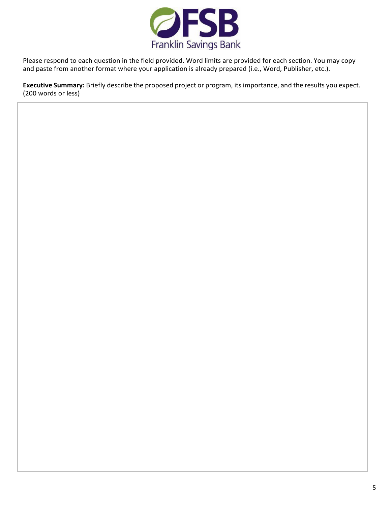

Please respond to each question in the field provided. Word limits are provided for each section. You may copy and paste from another format where your application is already prepared (i.e., Word, Publisher, etc.).

**Executive Summary:** Briefly describe the proposed project or program, its importance, and the results you expect. (200 words or less)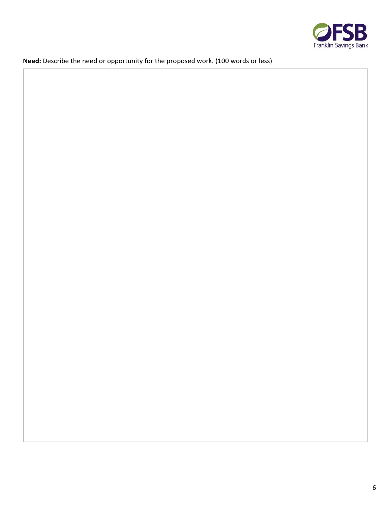

**Need:** Describe the need or opportunity for the proposed work. (100 words or less)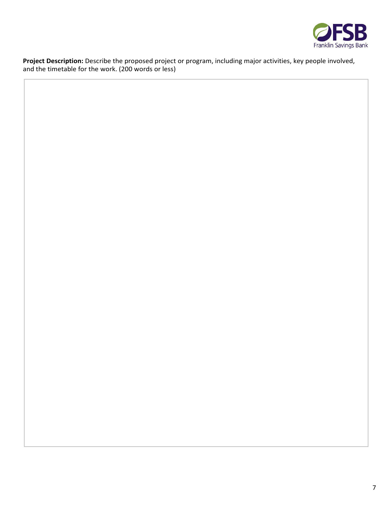

**Project Description:** Describe the proposed project or program, including major activities, key people involved, and the timetable for the work. (200 words or less)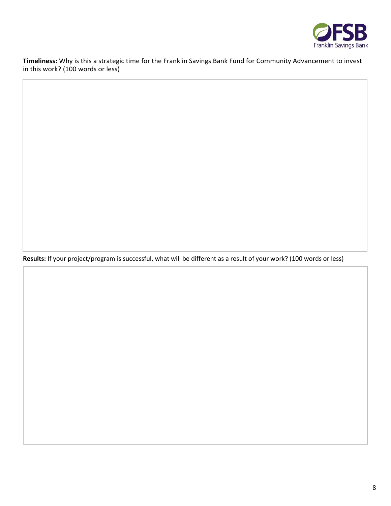

**Timeliness:** Why is this a strategic time for the Franklin Savings Bank Fund for Community Advancement to invest in this work? (100 words or less)

**Results:** If your project/program is successful, what will be different as a result of your work? (100 words or less)